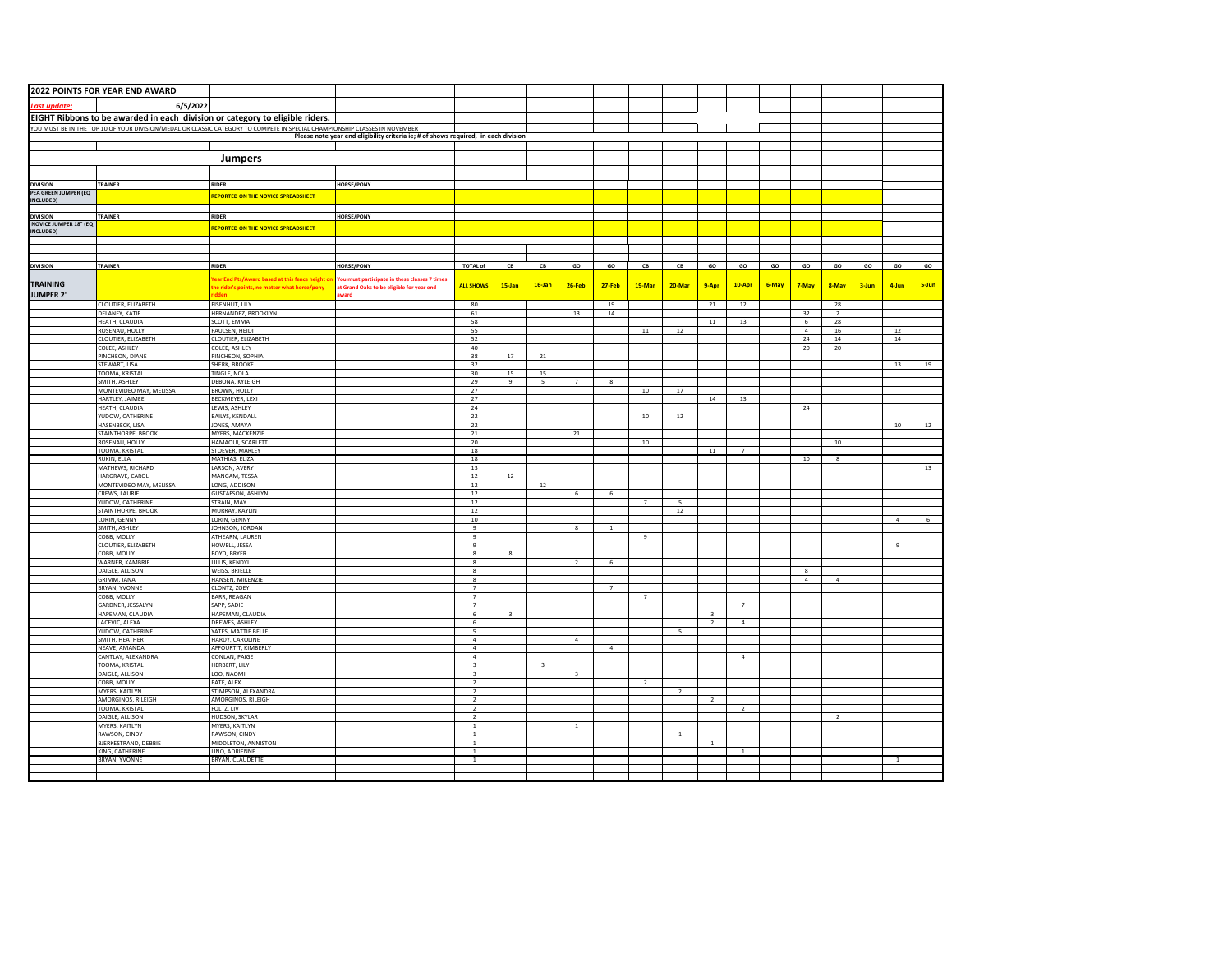|                                          | 2022 POINTS FOR YEAR END AWARD           |                                                                                                                             |                                                                                     |                                            |                         |                         |                |                |                  |                |                         |                |       |              |                      |                  |                |                  |
|------------------------------------------|------------------------------------------|-----------------------------------------------------------------------------------------------------------------------------|-------------------------------------------------------------------------------------|--------------------------------------------|-------------------------|-------------------------|----------------|----------------|------------------|----------------|-------------------------|----------------|-------|--------------|----------------------|------------------|----------------|------------------|
| ast update:                              | 6/5/2022                                 |                                                                                                                             |                                                                                     |                                            |                         |                         |                |                |                  |                |                         |                |       |              |                      |                  |                |                  |
|                                          |                                          | EIGHT Ribbons to be awarded in each division or category to eligible riders.                                                |                                                                                     |                                            |                         |                         |                |                |                  |                |                         |                |       |              |                      |                  |                |                  |
|                                          |                                          | YOU MUST BE IN THE TOP 10 OF YOUR DIVISION/MEDAL OR CLASSIC CATEGORY TO COMPETE IN SPECIAL CHAMPIONSHIP CLASSES IN NOVEMBER |                                                                                     |                                            |                         |                         |                |                |                  |                |                         |                |       |              |                      |                  |                |                  |
|                                          |                                          |                                                                                                                             | Please note year end eligibility criteria ie; # of shows required, in each division |                                            |                         |                         |                |                |                  |                |                         |                |       |              |                      |                  |                |                  |
|                                          |                                          |                                                                                                                             |                                                                                     |                                            |                         |                         |                |                |                  |                |                         |                |       |              |                      |                  |                |                  |
|                                          | <b>Jumpers</b>                           |                                                                                                                             |                                                                                     |                                            |                         |                         |                |                |                  |                |                         |                |       |              |                      |                  |                |                  |
|                                          |                                          |                                                                                                                             |                                                                                     |                                            |                         |                         |                |                |                  |                |                         |                |       |              |                      |                  |                |                  |
| <b>DIVISION</b>                          | TRAINER                                  | <b>RIDER</b>                                                                                                                | <b>HORSE/PONY</b>                                                                   |                                            |                         |                         |                |                |                  |                |                         |                |       |              |                      |                  |                |                  |
| PEA GREEN JUMPER (EQ<br>INCLUDED)        |                                          | <b>REPORTED ON THE NOVICE SPREADSHEET</b>                                                                                   |                                                                                     |                                            |                         |                         |                |                |                  |                |                         |                |       |              |                      |                  |                |                  |
|                                          |                                          |                                                                                                                             |                                                                                     |                                            |                         |                         |                |                |                  |                |                         |                |       |              |                      |                  |                |                  |
| <b>DIVISION</b><br>NOVICE JUMPER 18" (EC | TRAINER                                  | <b>RIDER</b>                                                                                                                | <b>HORSE/PONY</b>                                                                   |                                            |                         |                         |                |                |                  |                |                         |                |       |              |                      |                  |                |                  |
| INCLUDED)                                |                                          | <b>REPORTED ON THE NOVICE SPREADSHEET</b>                                                                                   |                                                                                     |                                            |                         |                         |                |                |                  |                |                         |                |       |              |                      |                  |                |                  |
|                                          |                                          |                                                                                                                             |                                                                                     |                                            |                         |                         |                |                |                  |                |                         |                |       |              |                      |                  |                |                  |
|                                          |                                          |                                                                                                                             |                                                                                     |                                            |                         |                         |                |                |                  |                |                         |                |       |              |                      |                  |                |                  |
| <b>DIVISION</b>                          | TRAINER                                  | <b>RIDER</b>                                                                                                                | <b>HORSE/PONY</b>                                                                   | <b>TOTAL of</b>                            | ${\sf CB}$              | CB                      | GO             | GO             | ${\sf CB}$       | CB             | GO                      | GO             | GO    | GO           | GO                   | GO               | GO             | GO               |
|                                          |                                          | ear End Pts/Award based at this fence height o                                                                              | You must participate in these classes 7 times                                       |                                            |                         |                         |                |                |                  |                |                         |                |       |              |                      |                  |                |                  |
| <b>TRAINING</b>                          |                                          | he rider's points, no matter what horse/pony                                                                                | at Grand Oaks to be eligible for year end                                           | <b>ALL SHOWS</b>                           | $15$ -Jan               | $16$ -Jan               | $26-Feh$       | $27-Feh$       | $19-Ma$          | 20-Mar         | $9-Any$                 | 10-Apr         | 6-May | 7-May        | 8-May                | $3 - \text{lun}$ | $4 - lun$      | 5-Jun            |
| JUMPER 2'                                | CLOUTIER, ELIZABETH                      | EISENHUT, LILY                                                                                                              | baswa                                                                               | 80                                         |                         |                         |                | 19             |                  |                | 21                      |                |       |              |                      |                  |                |                  |
|                                          | DELANEY, KATIE                           | HERNANDEZ, BROOKLYN                                                                                                         |                                                                                     | 61                                         |                         |                         | 13             | $14\,$         |                  |                |                         | 12             |       | 32           | 28<br>$\overline{2}$ |                  |                |                  |
|                                          | HEATH, CLAUDIA                           | SCOTT, EMMA                                                                                                                 |                                                                                     | 58                                         |                         |                         |                |                |                  |                | $11\,$                  | $13\,$         |       | 6            | 28                   |                  |                |                  |
|                                          | ROSENAU, HOLLY                           | PAULSEN, HEIDI                                                                                                              |                                                                                     | 55                                         |                         |                         |                |                | 11               | 12             |                         |                |       | $\mathbf{a}$ | $16\,$               |                  | $12\,$         |                  |
|                                          | CLOUTIER, ELIZABETH<br>COLEE, ASHLEY     | CLOUTIER, ELIZABETH<br>COLEE, ASHLEY                                                                                        |                                                                                     | 52<br>40                                   |                         |                         |                |                |                  |                |                         |                |       | 24<br>20     | 14<br>20             |                  | $14\,$         |                  |
|                                          | PINCHEON, DIANE                          | PINCHEON, SOPHIA                                                                                                            |                                                                                     | 38                                         | 17                      | 21                      |                |                |                  |                |                         |                |       |              |                      |                  |                |                  |
|                                          | STEWART, LISA                            | SHERK, BROOKE                                                                                                               |                                                                                     | 32                                         |                         |                         |                |                |                  |                |                         |                |       |              |                      |                  | 13             | 19               |
|                                          | TOOMA, KRISTAL<br>SMITH, ASHLEY          | TINGLE, NOLA<br>DEBONA, KYLEIGH                                                                                             |                                                                                     | 30<br>29                                   | 15<br>$\mathbf{q}$      | 15<br>$\mathbf{S}$      | $\overline{7}$ | 8              |                  |                |                         |                |       |              |                      |                  |                |                  |
|                                          | MONTEVIDEO MAY, MELISSA                  | BROWN, HOLLY                                                                                                                |                                                                                     | 27                                         |                         |                         |                |                | 10               | 17             |                         |                |       |              |                      |                  |                |                  |
|                                          | HARTLEY, JAIMEE                          | BECKMEYER, LEXI                                                                                                             |                                                                                     | 27                                         |                         |                         |                |                |                  |                | $14\,$                  | 13             |       |              |                      |                  |                |                  |
|                                          | HEATH, CLAUDIA                           | LEWIS, ASHLEY                                                                                                               |                                                                                     | 24                                         |                         |                         |                |                |                  |                |                         |                |       | 24           |                      |                  |                |                  |
|                                          | YUDOW, CATHERINE<br>HASENBECK, LISA      | <b>BAILYS, KENDALL</b><br>JONES, AMAYA                                                                                      |                                                                                     | 22<br>22                                   |                         |                         |                |                | 10 <sub>10</sub> | 12             |                         |                |       |              |                      |                  | $10\,$         | $12\,$           |
|                                          | STAINTHORPE, BROOK                       | MYERS, MACKENZIE                                                                                                            |                                                                                     | 21                                         |                         |                         | $21\,$         |                |                  |                |                         |                |       |              |                      |                  |                |                  |
|                                          | ROSENAU, HOLLY                           | HAMAOUI, SCARLETT                                                                                                           |                                                                                     | 20                                         |                         |                         |                |                | 10               |                |                         |                |       |              | 10                   |                  |                |                  |
|                                          | TOOMA, KRISTAL<br>RUKIN, ELLA            | STOEVER, MARLEY<br>MATHIAS, ELIZA                                                                                           |                                                                                     | 18<br>18                                   |                         |                         |                |                |                  |                | $11\,$                  | $\overline{7}$ |       | 10           | 8                    |                  |                |                  |
|                                          | MATHEWS, RICHARD                         | LARSON, AVERY                                                                                                               |                                                                                     | 13                                         |                         |                         |                |                |                  |                |                         |                |       |              |                      |                  |                | 13               |
|                                          | HARGRAVE, CAROL                          | MANGAM, TESSA                                                                                                               |                                                                                     | $12\,$                                     | 12                      |                         |                |                |                  |                |                         |                |       |              |                      |                  |                |                  |
|                                          | MONTEVIDEO MAY, MELISSA<br>CREWS, LAURIE | LONG, ADDISON<br><b>GUSTAFSON, ASHLYN</b>                                                                                   |                                                                                     | 12<br>12                                   |                         | 12                      | 6              | 6              |                  |                |                         |                |       |              |                      |                  |                |                  |
|                                          | YUDOW, CATHERINE                         | STRAIN, MAY                                                                                                                 |                                                                                     | 12                                         |                         |                         |                |                |                  |                |                         |                |       |              |                      |                  |                |                  |
|                                          | STAINTHORPE, BROOK                       | MURRAY, KAYLIN                                                                                                              |                                                                                     | 12                                         |                         |                         |                |                |                  | 12             |                         |                |       |              |                      |                  |                |                  |
|                                          | LORIN, GENNY<br>SMITH, ASHLEY            | LORIN, GENNY<br>JOHNSON, JORDAN                                                                                             |                                                                                     | 10<br>9                                    |                         |                         | $\mathbf{R}$   | $\mathbf{1}$   |                  |                |                         |                |       |              |                      |                  | 4              | $6 \overline{6}$ |
|                                          | COBB, MOLLY                              | ATHEARN, LAUREN                                                                                                             |                                                                                     | $\mathbf{q}$                               |                         |                         |                |                | $\alpha$         |                |                         |                |       |              |                      |                  |                |                  |
|                                          | CLOUTIER, ELIZABETH                      | HOWELL, JESSA                                                                                                               |                                                                                     | $\overline{9}$                             |                         |                         |                |                |                  |                |                         |                |       |              |                      |                  | $\overline{9}$ |                  |
|                                          | COBB, MOLLY                              | BOYD, BRYER                                                                                                                 |                                                                                     | $\bf8$                                     | 8                       |                         |                |                |                  |                |                         |                |       |              |                      |                  |                |                  |
|                                          | WARNER, KAMBRIE<br>DAIGLE, ALLISON       | LILLIS, KENDYL<br>WEISS, BRIELLE                                                                                            |                                                                                     | $\boldsymbol{8}$<br>$^{8}$                 |                         |                         | $\overline{2}$ | 6              |                  |                |                         |                |       | 8            |                      |                  |                |                  |
|                                          | GRIMM, JANA                              | HANSEN, MIKENZIE                                                                                                            |                                                                                     | $\bf{8}$                                   |                         |                         |                |                |                  |                |                         |                |       | $\bf{4}$     | $\overline{a}$       |                  |                |                  |
|                                          | BRYAN, YVONNE                            | CLONTZ, ZOEY                                                                                                                |                                                                                     | $\overline{7}$<br>$\overline{7}$           |                         |                         |                | $\overline{7}$ | $\overline{7}$   |                |                         |                |       |              |                      |                  |                |                  |
|                                          | COBB, MOLLY<br>GARDNER, JESSALYN         | <b>BARR, REAGAN</b><br>SAPP, SADIE                                                                                          |                                                                                     | $\overline{7}$                             |                         |                         |                |                |                  |                |                         | $\overline{7}$ |       |              |                      |                  |                |                  |
|                                          | HAPEMAN, CLAUDIA                         | HAPEMAN, CLAUDIA                                                                                                            |                                                                                     | 6                                          | $\overline{\mathbf{3}}$ |                         |                |                |                  |                | $\overline{\mathbf{3}}$ |                |       |              |                      |                  |                |                  |
|                                          | LACEVIC, ALEXA                           | <b>DREWES, ASHLEY</b>                                                                                                       |                                                                                     | 6                                          |                         |                         |                |                |                  |                | $\overline{2}$          | $\mathbf{A}$   |       |              |                      |                  |                |                  |
|                                          | YUDOW, CATHERINE<br>SMITH, HEATHER       | YATES, MATTIE BELLE<br>HARDY, CAROLINE                                                                                      |                                                                                     | $\overline{\phantom{a}}$<br>$\overline{4}$ |                         |                         | $\overline{a}$ |                |                  | 5              |                         |                |       |              |                      |                  |                |                  |
|                                          | NEAVE, AMANDA                            | AFFOURTIT, KIMBERLY                                                                                                         |                                                                                     | $\overline{4}$                             |                         |                         |                | $\overline{a}$ |                  |                |                         |                |       |              |                      |                  |                |                  |
|                                          | CANTLAY, ALEXANDRA                       | CONLAN, PAIGE                                                                                                               |                                                                                     | $\overline{4}$                             |                         |                         |                |                |                  |                |                         | $\sim$         |       |              |                      |                  |                |                  |
|                                          | TOOMA, KRISTAL<br>DAIGLE, ALLISON        | HERBERT, LILY<br>LOO, NAOMI                                                                                                 |                                                                                     | $\mathsf 3$<br>$\overline{\mathbf{3}}$     |                         | $\overline{\mathbf{3}}$ | 3              |                |                  |                |                         |                |       |              |                      |                  |                |                  |
|                                          | COBB, MOLLY                              | PATE, ALEX                                                                                                                  |                                                                                     | $\overline{2}$                             |                         |                         |                |                | $\overline{2}$   |                |                         |                |       |              |                      |                  |                |                  |
|                                          | MYERS, KAITLYN                           | STIMPSON, ALEXANDRA                                                                                                         |                                                                                     | $\overline{z}$                             |                         |                         |                |                |                  | $\overline{ }$ |                         |                |       |              |                      |                  |                |                  |
|                                          | AMORGINOS, RILEIGH<br>TOOMA, KRISTAL     | AMORGINOS, RILEIGH<br>FOLTZ, LIV                                                                                            |                                                                                     | $\overline{2}$<br>$\overline{2}$           |                         |                         |                |                |                  |                | $\overline{2}$          | $\overline{z}$ |       |              |                      |                  |                |                  |
|                                          | DAIGLE, ALLISON                          | HUDSON, SKYLAR                                                                                                              |                                                                                     | $\overline{2}$                             |                         |                         |                |                |                  |                |                         |                |       |              | $\overline{2}$       |                  |                |                  |
|                                          | MYERS, KAITLYN                           | MYERS, KAITLYN                                                                                                              |                                                                                     | $\,$ 1 $\,$                                |                         |                         | $\overline{1}$ |                |                  |                |                         |                |       |              |                      |                  |                |                  |
|                                          | RAWSON, CINDY                            | RAWSON, CINDY                                                                                                               |                                                                                     | $\mathbf{1}$                               |                         |                         |                |                |                  | $\overline{1}$ |                         |                |       |              |                      |                  |                |                  |
|                                          | BJERKESTRAND, DEBBIE<br>KING, CATHERINE  | MIDDLETON, ANNISTON<br>LINO, ADRIENNE                                                                                       |                                                                                     | $\mathbf{1}$<br>$\mathbf{1}$               |                         |                         |                |                |                  |                | $\,$ 1 $\,$             | $\overline{1}$ |       |              |                      |                  |                |                  |
|                                          | BRYAN, YVONNE                            | BRYAN, CLAUDETTE                                                                                                            |                                                                                     | $\overline{1}$                             |                         |                         |                |                |                  |                |                         |                |       |              |                      |                  | $\overline{1}$ |                  |
|                                          |                                          |                                                                                                                             |                                                                                     |                                            |                         |                         |                |                |                  |                |                         |                |       |              |                      |                  |                |                  |
|                                          |                                          |                                                                                                                             |                                                                                     |                                            |                         |                         |                |                |                  |                |                         |                |       |              |                      |                  |                |                  |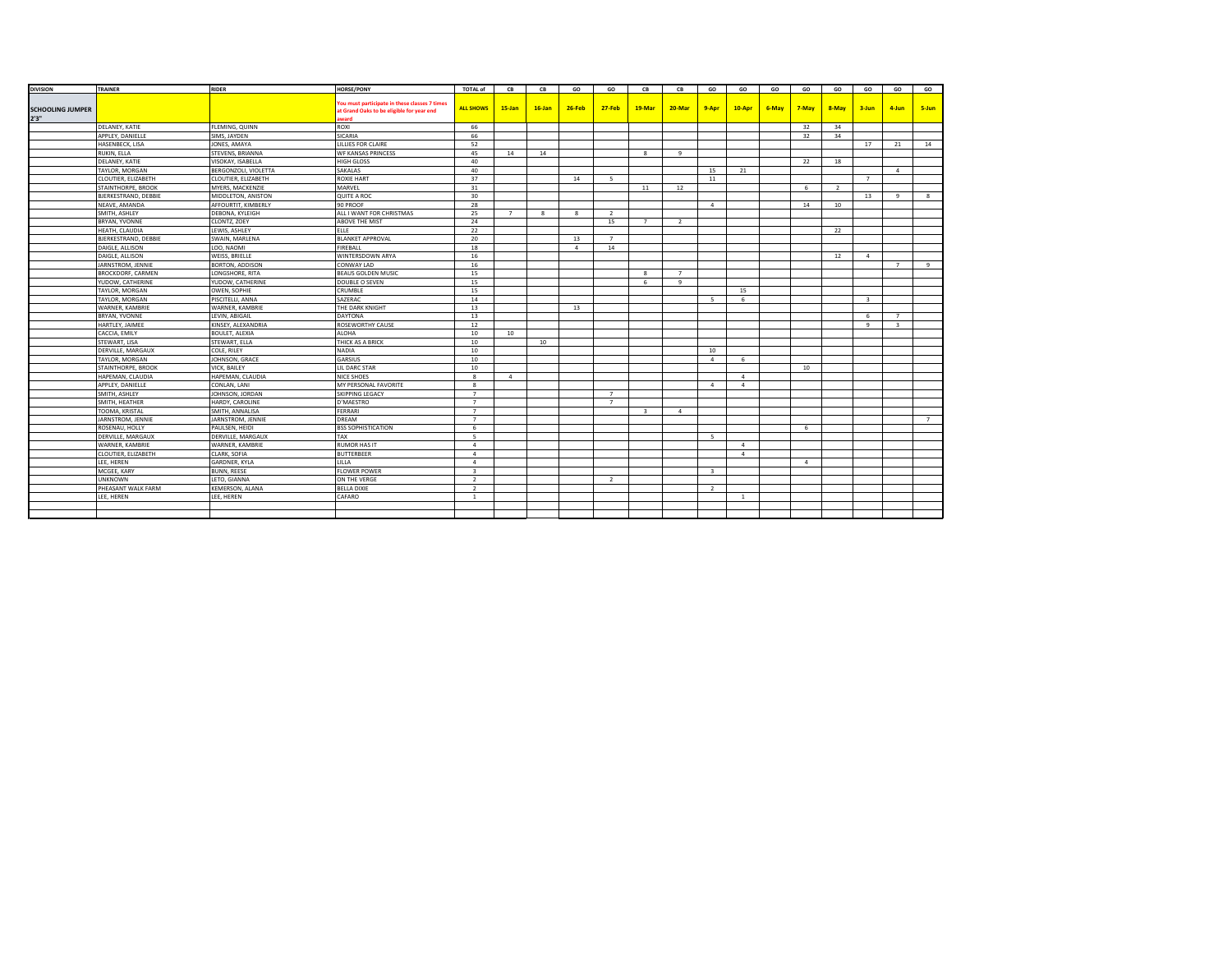| <b>DIVISION</b>                  | <b>TRAINER</b>              | <b>RIDER</b>           | <b>HORSE/PONY</b>                                                                                        | <b>TOTAL of</b>          | CB             | CB           | GO           | GO             | CB             | CB             | GO                      | GO             | GO    | GO             | GO             | GO             | GO                      | GO             |
|----------------------------------|-----------------------------|------------------------|----------------------------------------------------------------------------------------------------------|--------------------------|----------------|--------------|--------------|----------------|----------------|----------------|-------------------------|----------------|-------|----------------|----------------|----------------|-------------------------|----------------|
| <b>SCHOOLING JUMPER</b><br>2'3'' |                             |                        | ou must participate in these classes 7 times<br>at Grand Oaks to be eligible for year end<br><b>ward</b> | <b>ALL SHOWS</b>         | $15$ -Jan      | $16$ -Jan    | $26-Feb$     | $27 - Feb$     | 19-Mar         | 20-Mar         | 9-Apr                   | 10-Apr         | 6-May | 7-May          | 8-May          | $3 - Jun$      | 4-Jun                   | 5-Jun          |
|                                  | DELANEY, KATIE              | FLEMING, QUINN         | ROXI                                                                                                     | 66                       |                |              |              |                |                |                |                         |                |       | 32             | 34             |                |                         |                |
|                                  | APPLEY, DANIELLE            | SIMS, JAYDEN           | SICARIA                                                                                                  | 66                       |                |              |              |                |                |                |                         |                |       | 32             | 34             |                |                         |                |
|                                  | HASENBECK, LISA             | JONES, AMAYA           | LILLIES FOR CLAIRE                                                                                       | 52                       |                |              |              |                |                |                |                         |                |       |                |                | 17             | 21                      | 14             |
|                                  | RUKIN, ELLA                 | STEVENS, BRIANNA       | <b>WF KANSAS PRINCESS</b>                                                                                | 45                       | 14             | 14           |              |                | 8              | 9              |                         |                |       |                |                |                |                         |                |
|                                  | DELANEY, KATIE              | VISOKAY, ISABELLA      | <b>HIGH GLOSS</b>                                                                                        | 40                       |                |              |              |                |                |                |                         |                |       | 22             | 18             |                |                         |                |
|                                  | TAYLOR, MORGAN              | BERGONZOLI, VIOLETTA   | SAKALAS                                                                                                  | 40                       |                |              |              |                |                |                | 15                      | 21             |       |                |                |                | $\overline{a}$          |                |
|                                  | CLOUTIER, ELIZABETH         | CLOUTIER, ELIZABETH    | <b>ROXIE HART</b>                                                                                        | 37                       |                |              | 14           | $\overline{5}$ |                |                | 11                      |                |       |                |                | $\overline{7}$ |                         |                |
|                                  | STAINTHORPE, BROOK          | MYERS, MACKENZIE       | MARVEL                                                                                                   | 31                       |                |              |              |                | 11             | 12             |                         |                |       | 6              | $\overline{2}$ |                |                         |                |
|                                  | BJERKESTRAND, DEBBIE        | MIDDLETON, ANISTON     | QUITE A ROC                                                                                              | 30                       |                |              |              |                |                |                |                         |                |       |                |                | 13             | 9                       | 8              |
|                                  | NEAVE, AMANDA               | AFFOURTIT, KIMBERLY    | 90 PROOF                                                                                                 | 28                       |                |              |              |                |                |                | $\overline{4}$          |                |       | 14             | 10             |                |                         |                |
|                                  | SMITH, ASHLEY               | DEBONA, KYLEIGH        | ALL I WANT FOR CHRISTMAS                                                                                 | 25                       | $\overline{7}$ | $\mathbf{R}$ | $\mathbf{R}$ | $\overline{z}$ |                |                |                         |                |       |                |                |                |                         |                |
|                                  | BRYAN, YVONNE               | CLONTZ, ZOEY           | ABOVE THE MIST                                                                                           | 24                       |                |              |              | 15             | $\overline{7}$ | $\overline{2}$ |                         |                |       |                |                |                |                         |                |
|                                  | <b>HEATH, CLAUDIA</b>       | LEWIS, ASHLEY          | ELLE                                                                                                     | 22                       |                |              |              |                |                |                |                         |                |       |                | 22             |                |                         |                |
|                                  | <b>BJERKESTRAND, DEBBIE</b> | SWAIN, MARLENA         | <b>BLANKET APPROVAL</b>                                                                                  | 20                       |                |              | 13           | $\overline{7}$ |                |                |                         |                |       |                |                |                |                         |                |
|                                  | DAIGLE, ALLISON             | LOO, NAOMI             | FIREBALL                                                                                                 | 18                       |                |              | $\sim$       | 14             |                |                |                         |                |       |                |                |                |                         |                |
|                                  | DAIGLE, ALLISON             | WEISS, BRIELLE         | WINTERSDOWN ARYA                                                                                         | 16                       |                |              |              |                |                |                |                         |                |       |                | 12             | $\overline{4}$ |                         |                |
|                                  | JARNSTROM, JENNIE           | BORTON, ADDISON        | CONWAY LAD                                                                                               | 16                       |                |              |              |                |                |                |                         |                |       |                |                |                | $\overline{7}$          | -9             |
|                                  | <b>BROCKDORF, CARMEN</b>    | ONGSHORE, RITA         | <b>BEAUS GOLDEN MUSIC</b>                                                                                | 15                       |                |              |              |                | 8              | $7^{\circ}$    |                         |                |       |                |                |                |                         |                |
|                                  | YUDOW, CATHERINE            | YUDOW, CATHERINE       | DOUBLE O SEVEN                                                                                           | 15                       |                |              |              |                | 6              | $\mathbf{q}$   |                         |                |       |                |                |                |                         |                |
|                                  | TAYLOR, MORGAN              | OWEN, SOPHIE           | CRUMBLE                                                                                                  | 15                       |                |              |              |                |                |                |                         | 15             |       |                |                |                |                         |                |
|                                  | TAYLOR, MORGAN              | PISCITELLI, ANNA       | SAZERAC                                                                                                  | 14                       |                |              |              |                |                |                | $\sim$                  | 6              |       |                |                | $\overline{3}$ |                         |                |
|                                  | WARNER, KAMBRIE             | WARNER, KAMBRIE        | THE DARK KNIGHT                                                                                          | 13                       |                |              | 13           |                |                |                |                         |                |       |                |                |                |                         |                |
|                                  | BRYAN, YVONNE               | LEVIN, ABIGAIL         | <b>DAYTONA</b>                                                                                           | 13                       |                |              |              |                |                |                |                         |                |       |                |                | 6              | 7                       |                |
|                                  | HARTLEY, JAIMEE             | KINSEY, ALEXANDRIA     | ROSEWORTHY CAUSE                                                                                         | 12                       |                |              |              |                |                |                |                         |                |       |                |                | 9              | $\overline{\mathbf{3}}$ |                |
|                                  | CACCIA, EMILY               | <b>BOULET, ALEXIA</b>  | <b>ALOHA</b>                                                                                             | 10                       | 10             |              |              |                |                |                |                         |                |       |                |                |                |                         |                |
|                                  | STEWART, LISA               | STEWART, ELLA          | THICK AS A BRICK                                                                                         | 10                       |                | 10           |              |                |                |                |                         |                |       |                |                |                |                         |                |
|                                  | DERVILLE, MARGAUX           | COLE, RILEY            | <b>NADIA</b>                                                                                             | 10                       |                |              |              |                |                |                | 10                      |                |       |                |                |                |                         |                |
|                                  | TAYLOR, MORGAN              | JOHNSON, GRACE         | GARSIUS                                                                                                  | 10                       |                |              |              |                |                |                | $\overline{a}$          | 6              |       |                |                |                |                         |                |
|                                  | STAINTHORPE, BROOK          | VICK, BAILEY           | IL DARC STAR                                                                                             | 10                       |                |              |              |                |                |                |                         |                |       | 10             |                |                |                         |                |
|                                  | HAPEMAN, CLAUDIA            | HAPEMAN, CLAUDIA       | NICE SHOES                                                                                               | 8                        | $\overline{4}$ |              |              |                |                |                |                         | $\overline{a}$ |       |                |                |                |                         |                |
|                                  | APPLEY, DANIELLE            | CONLAN, LANI           | MY PERSONAL FAVORITE                                                                                     | 8                        |                |              |              |                |                |                | $\overline{4}$          | $\sim$         |       |                |                |                |                         |                |
|                                  | SMITH, ASHLEY               | JOHNSON, JORDAN        | <b>SKIPPING LEGACY</b>                                                                                   | $\overline{7}$           |                |              |              | $7^{\circ}$    |                |                |                         |                |       |                |                |                |                         |                |
|                                  | SMITH, HEATHER              | HARDY, CAROLINE        | D'MAESTRO                                                                                                | $\overline{7}$           |                |              |              | $7^{\circ}$    |                |                |                         |                |       |                |                |                |                         |                |
|                                  | TOOMA, KRISTAL              | SMITH, ANNALISA        | FERRARI                                                                                                  | $\overline{7}$           |                |              |              |                | $\mathbf{R}$   | $\overline{a}$ |                         |                |       |                |                |                |                         |                |
|                                  | JARNSTROM, JENNIE           | JARNSTROM, JENNIE      | DREAM                                                                                                    | $\overline{7}$           |                |              |              |                |                |                |                         |                |       |                |                |                |                         | $\overline{7}$ |
|                                  | ROSENAU, HOLLY              | PAULSEN, HEIDI         | <b>BSS SOPHISTICATION</b>                                                                                | 6                        |                |              |              |                |                |                |                         |                |       | 6              |                |                |                         |                |
|                                  | DERVILLE, MARGAUX           | DERVILLE, MARGAUX      | TAX                                                                                                      | -5                       |                |              |              |                |                |                | 5                       |                |       |                |                |                |                         |                |
|                                  | WARNER, KAMBRIE             | WARNER, KAMBRIE        | <b>RUMOR HAS IT</b>                                                                                      | $\overline{a}$           |                |              |              |                |                |                |                         | $\sim$         |       |                |                |                |                         |                |
|                                  | CLOUTIER, ELIZABETH         | CLARK, SOFIA           | <b>BUTTERBEER</b>                                                                                        | $\overline{a}$           |                |              |              |                |                |                |                         | $\sim$         |       |                |                |                |                         |                |
|                                  | LEE. HEREN                  | GARDNER, KYLA          | ILLA.                                                                                                    | $\boldsymbol{A}$         |                |              |              |                |                |                |                         |                |       | $\overline{a}$ |                |                |                         |                |
|                                  | MCGEE, KARY                 | <b>BUNN, REESE</b>     | <b>FLOWER POWER</b>                                                                                      | $\overline{3}$           |                |              |              |                |                |                | $\overline{\mathbf{3}}$ |                |       |                |                |                |                         |                |
|                                  | <b>UNKNOWN</b>              | ETO, GIANNA            | ON THE VERGE                                                                                             | 2                        |                |              |              | $\overline{2}$ |                |                |                         |                |       |                |                |                |                         |                |
|                                  | PHEASANT WALK FARM          | <b>KEMERSON, ALANA</b> | <b>BELLA DIXIE</b>                                                                                       | $\overline{\phantom{a}}$ |                |              |              |                |                |                | $\overline{z}$          |                |       |                |                |                |                         |                |
|                                  | LEE, HEREN                  | LEE, HEREN             | CAFARO                                                                                                   | $\overline{1}$           |                |              |              |                |                |                |                         | $\overline{1}$ |       |                |                |                |                         |                |
|                                  |                             |                        |                                                                                                          |                          |                |              |              |                |                |                |                         |                |       |                |                |                |                         |                |
|                                  |                             |                        |                                                                                                          |                          |                |              |              |                |                |                |                         |                |       |                |                |                |                         |                |
|                                  |                             |                        |                                                                                                          |                          |                |              |              |                |                |                |                         |                |       |                |                |                |                         |                |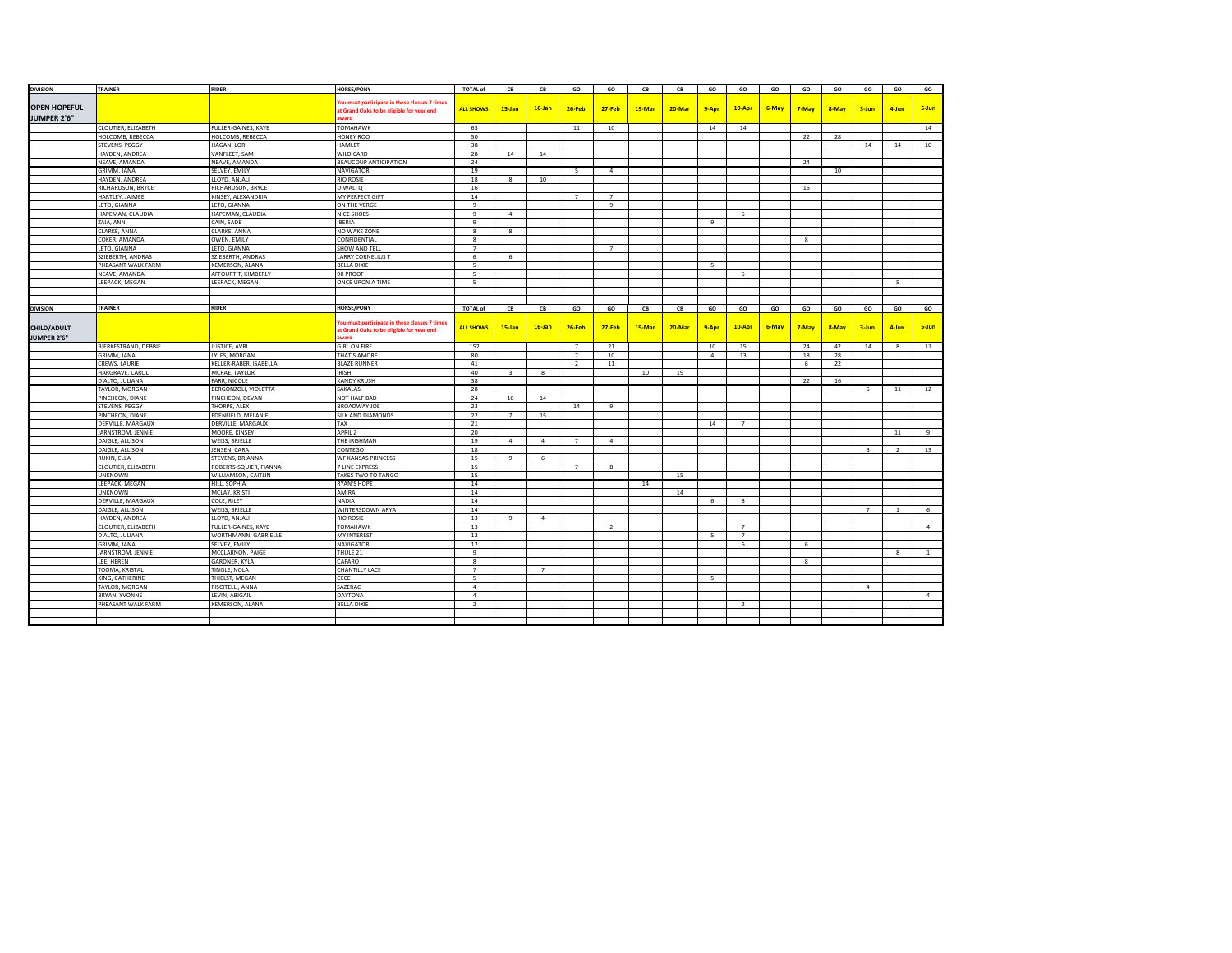| <b>DIVISION</b>     | TRAINER                              | <b>RIDER</b>           | <b>HORSE/PONY</b>                                                                         | <b>TOTAL of</b>  | CB                      | CB             | GO             | GO             | CB     | CB     | GO             | GO             | GO    | GO           | GO    | GO                      | GO             | GO             |
|---------------------|--------------------------------------|------------------------|-------------------------------------------------------------------------------------------|------------------|-------------------------|----------------|----------------|----------------|--------|--------|----------------|----------------|-------|--------------|-------|-------------------------|----------------|----------------|
|                     |                                      |                        |                                                                                           |                  |                         |                |                |                |        |        |                |                |       |              |       |                         |                |                |
| <b>OPEN HOPEFUL</b> |                                      |                        | ou must participate in these classes 7 times                                              | <b>ALL SHOWS</b> | $15$ -Jan               | $16$ -Jan      | 26-Feb         | $27 - Feb$     | 19-Mar | 20-Mar | 9-Apr          | 10-Apr         | 6-May | 7-May        | 8-May | $3 - Jun$               | 4-Jun          | 5-Jun          |
| JUMPER 2'6"         |                                      |                        | at Grand Oaks to be eligible for year end                                                 |                  |                         |                |                |                |        |        |                |                |       |              |       |                         |                |                |
|                     |                                      |                        | <b>ward</b>                                                                               |                  |                         |                |                |                |        |        |                |                |       |              |       |                         |                |                |
|                     | CLOUTIER, ELIZABETH                  | FULLER-GAINES, KAYE    | TOMAHAWK                                                                                  | 63               |                         |                | 11             | 10             |        |        | 14             | 14             |       |              |       |                         |                | 14             |
|                     | HOLCOMB, REBECCA                     | HOLCOMB, REBECCA       | HONEY ROO                                                                                 | 50               |                         |                |                |                |        |        |                |                |       | 22           | 28    |                         |                |                |
|                     | STEVENS, PEGGY                       | HAGAN, LORI            | <b>HAMLET</b>                                                                             | 38               |                         |                |                |                |        |        |                |                |       |              |       | 14                      | 14             | 10             |
|                     | HAYDEN, ANDREA                       | VANFLEET, SAM          | <b>WILD CARD</b>                                                                          | 28               | 14                      | 14             |                |                |        |        |                |                |       |              |       |                         |                |                |
|                     | NEAVE, AMANDA                        | NEAVE, AMANDA          | <b>BEAUCOUP ANTICIPATION</b>                                                              | 24               |                         |                |                |                |        |        |                |                |       | 24           |       |                         |                |                |
|                     | <b>GRIMM, JANA</b>                   | SELVEY, EMILY          | <b>NAVIGATOR</b>                                                                          | 19               |                         |                | 5              | $\overline{4}$ |        |        |                |                |       |              | 10    |                         |                |                |
|                     | HAYDEN, ANDREA                       | LLOYD, ANJALI          | <b>RIO ROSIE</b>                                                                          | 18               | 8                       | 10             |                |                |        |        |                |                |       |              |       |                         |                |                |
|                     | RICHARDSON, BRYCE                    | RICHARDSON, BRYCE      | DIWALI Q                                                                                  | 16               |                         |                |                |                |        |        |                |                |       | 16           |       |                         |                |                |
|                     | HARTLEY, JAIMEE                      | KINSEY, ALEXANDRIA     | MY PERFECT GIFT                                                                           | 14               |                         |                | $\overline{7}$ | $7^{\circ}$    |        |        |                |                |       |              |       |                         |                |                |
|                     | LETO, GIANNA                         | LETO, GIANNA           | ON THE VERGE                                                                              | $\overline{9}$   |                         |                |                | 9              |        |        |                |                |       |              |       |                         |                |                |
|                     | HAPEMAN, CLAUDIA                     | HAPEMAN, CLAUDIA       | NICE SHOES                                                                                | -9               | $\overline{4}$          |                |                |                |        |        |                | -5             |       |              |       |                         |                |                |
|                     | ZAIA, ANN                            | CAIN, SADE             | <b>IBERIA</b>                                                                             | 9                |                         |                |                |                |        |        | $\mathbf{q}$   |                |       |              |       |                         |                |                |
|                     | CLARKE, ANNA                         | CLARKE, ANNA           | NO WAKE ZONE                                                                              | 8                | 8                       |                |                |                |        |        |                |                |       |              |       |                         |                |                |
|                     | COKER, AMANDA                        | OWEN, EMILY            | CONFIDENTIAL                                                                              | 8                |                         |                |                |                |        |        |                |                |       | $\mathbf{R}$ |       |                         |                |                |
|                     | LETO, GIANNA                         | LETO, GIANNA           | <b>SHOW AND TELL</b>                                                                      | $\overline{7}$   |                         |                |                | $\overline{7}$ |        |        |                |                |       |              |       |                         |                |                |
|                     | SZIEBERTH, ANDRAS                    | SZIEBERTH, ANDRAS      | <b>LARRY CORNELIUS T</b>                                                                  | 6                | 6                       |                |                |                |        |        |                |                |       |              |       |                         |                |                |
|                     | PHEASANT WALK FARM                   | KEMERSON, ALANA        | <b>BELLA DIXIE</b>                                                                        | -5               |                         |                |                |                |        |        | $\overline{5}$ |                |       |              |       |                         |                |                |
|                     | NEAVE, AMANDA                        | AFFOURTIT, KIMBERLY    | 90 PROOF                                                                                  | 5                |                         |                |                |                |        |        |                | -5             |       |              |       |                         |                |                |
|                     | LEEPACK, MEGAN                       | LEEPACK, MEGAN         | ONCE UPON A TIME                                                                          | 5                |                         |                |                |                |        |        |                |                |       |              |       |                         | 5              |                |
|                     |                                      |                        |                                                                                           |                  |                         |                |                |                |        |        |                |                |       |              |       |                         |                |                |
|                     |                                      |                        |                                                                                           |                  |                         |                |                |                |        |        |                |                |       |              |       |                         |                |                |
| <b>DIVISION</b>     | TRAINER                              | <b>RIDER</b>           | <b>HORSE/PONY</b>                                                                         | <b>TOTAL of</b>  | CB                      | CB             | GO             | GO             | CB     | CB     | GO             | GO             | GO    | GO           | GO    | GO                      | GO             | GO             |
|                     |                                      |                        |                                                                                           |                  |                         |                |                |                |        |        |                |                |       |              |       |                         |                |                |
| <b>CHILD/ADULT</b>  |                                      |                        | ou must participate in these classes 7 times<br>at Grand Oaks to be eligible for year end | <b>ALL SHOWS</b> | $15$ -Jan               | $16$ -Jan      | 26-Feb         | $27 - Feb$     | 19-Mar | 20-Mar | 9-Apr          | 10-Apr         | 6-May | 7-May        | 8-May | $3$ -Jun                | $4 - I$ un     | 5-Jun          |
| JUMPER 2'6"         |                                      |                        | <b>ward</b>                                                                               |                  |                         |                |                |                |        |        |                |                |       |              |       |                         |                |                |
|                     | BJERKESTRAND, DEBBIE                 | JUSTICE, AVRI          | <b>GIRL ON FIRE</b>                                                                       | 152              |                         |                | $\overline{7}$ | 21             |        |        | 10             | 15             |       | 24           | 42    | 14                      | $\mathbf{8}$   | $11\,$         |
|                     | GRIMM, JANA                          | LYLES, MORGAN          | <b>THAT'S AMORE</b>                                                                       | 80               |                         |                | $\overline{7}$ | 10             |        |        | $\overline{4}$ | 13             |       | 18           | 28    |                         |                |                |
|                     | CREWS, LAURIE                        | KELLER-RABER, ISABELLA | <b>BLAZE RUNNER</b>                                                                       | 41               |                         |                | $\overline{2}$ | 11             |        |        |                |                |       | 6            | 22    |                         |                |                |
|                     | HARGRAVE, CAROL                      | MCRAE, TAYLOR          | <b>IRISH</b>                                                                              | 40               | $\overline{\mathbf{3}}$ | 8              |                |                | 10     | 19     |                |                |       |              |       |                         |                |                |
|                     | D'ALTO, JULIANA                      | FARR, NICOLE           | <b>KANDY KRUSH</b>                                                                        | 38               |                         |                |                |                |        |        |                |                |       | 22           | 16    |                         |                |                |
|                     | TAYLOR, MORGAN                       | BERGONZOLI, VIOLETTA   | SAKALAS                                                                                   | 28               |                         |                |                |                |        |        |                |                |       |              |       | 5                       | 11             | 12             |
|                     | PINCHEON, DIANE                      | PINCHEON, DEVAN        | NOT HALF BAD                                                                              | 24               | 10                      | 14             |                |                |        |        |                |                |       |              |       |                         |                |                |
|                     | STEVENS, PEGGY                       | THORPE, ALEX           | <b>BROADWAY JOE</b>                                                                       | 23               |                         |                | 14             | 9              |        |        |                |                |       |              |       |                         |                |                |
|                     |                                      |                        |                                                                                           |                  |                         |                |                |                |        |        |                |                |       |              |       |                         |                |                |
|                     | PINCHEON, DIANE<br>DERVILLE, MARGAUX | EDENFIELD, MELANIE     | SILK AND DIAMONDS<br>TAX                                                                  | 22               | 7                       | 15             |                |                |        |        |                | $\overline{7}$ |       |              |       |                         |                |                |
|                     |                                      | DERVILLE, MARGAUX      | <b>APRIL Z</b>                                                                            | 21               |                         |                |                |                |        |        | 14             |                |       |              |       |                         | 11             | 9              |
|                     | JARNSTROM, JENNIE                    | MOORE, KINSEY          |                                                                                           | 20               |                         |                |                |                |        |        |                |                |       |              |       |                         |                |                |
|                     | DAIGLE, ALLISON                      | WEISS, BRIELLE         | THE IRISHMAN                                                                              | 19               | $\overline{4}$          | $\overline{4}$ | $\overline{7}$ | $\overline{a}$ |        |        |                |                |       |              |       |                         |                |                |
|                     | DAIGLE, ALLISON                      | JENSEN, CARA           | CONTEGO                                                                                   | 18               |                         |                |                |                |        |        |                |                |       |              |       | $\overline{\mathbf{3}}$ | <sup>2</sup>   | 13             |
|                     | RUKIN, ELLA                          | STEVENS, BRIANNA       | WF KANSAS PRINCESS                                                                        | 15               | 9                       | 6              |                |                |        |        |                |                |       |              |       |                         |                |                |
|                     | CLOUTIER, ELIZABETH                  | ROBERTS-SQUIER, FIANNA | <b>7 LINE EXPRESS</b>                                                                     | 15               |                         |                | $\overline{7}$ | 8              |        |        |                |                |       |              |       |                         |                |                |
|                     | <b>UNKNOWN</b>                       | WILLIAMSON, CAITLIN    | TAKES TWO TO TANGO                                                                        | 15               |                         |                |                |                |        | 15     |                |                |       |              |       |                         |                |                |
|                     | LEEPACK, MEGAN                       | HILL, SOPHIA           | <b>RYAN'S HOPE</b>                                                                        | 14               |                         |                |                |                | 14     |        |                |                |       |              |       |                         |                |                |
|                     | <b>UNKNOWN</b>                       | MCLAY, KRISTI          | AMIRA                                                                                     | 14               |                         |                |                |                |        | 14     |                |                |       |              |       |                         |                |                |
|                     | DERVILLE, MARGAUX                    | COLE, RILEY            | <b>NADIA</b>                                                                              | 14               |                         |                |                |                |        |        | 6              | 8              |       |              |       |                         |                |                |
|                     | DAIGLE, ALLISON                      | WEISS, BRIELLE         | WINTERSDOWN ARYA                                                                          | 14               |                         |                |                |                |        |        |                |                |       |              |       | $\overline{7}$          | $\overline{1}$ | 6              |
|                     | HAYDEN, ANDREA                       | LLOYD, ANJALI          | <b>RIO ROSIE</b>                                                                          | 13               | 9                       | $\overline{4}$ |                |                |        |        |                |                |       |              |       |                         |                |                |
|                     | CLOUTIER, ELIZABETH                  | FULLER-GAINES, KAYE    | TOMAHAWK                                                                                  | 13               |                         |                |                | $\overline{2}$ |        |        |                | $7^{\circ}$    |       |              |       |                         |                | $\overline{a}$ |
|                     | D'ALTO, JULIANA                      | WORTHMANN, GABRIELLE   | <b>MY INTEREST</b>                                                                        | 12               |                         |                |                |                |        |        | $\overline{5}$ | $\overline{7}$ |       |              |       |                         |                |                |
|                     | <b>GRIMM, JANA</b>                   | SELVEY, EMILY          | <b>NAVIGATOR</b>                                                                          | 12               |                         |                |                |                |        |        |                | 6              |       | 6            |       |                         |                |                |
|                     | JARNSTROM, JENNIE                    | MCCLARNON, PAIGE       | THULE 21                                                                                  | 9                |                         |                |                |                |        |        |                |                |       |              |       |                         | $\mathbf{8}$   | $\mathbf{1}$   |
|                     | LEE, HEREN                           | <b>GARDNER, KYLA</b>   | CAFARO                                                                                    | 8                |                         |                |                |                |        |        |                |                |       | $\mathbf{R}$ |       |                         |                |                |
|                     | TOOMA, KRISTAL                       | TINGLE, NOLA           | <b>CHANTILLY LACE</b>                                                                     | $\overline{7}$   |                         | $\overline{7}$ |                |                |        |        |                |                |       |              |       |                         |                |                |
|                     | KING, CATHERINE                      | THIELST, MEGAN         | CECE                                                                                      | 5                |                         |                |                |                |        |        | 5              |                |       |              |       |                         |                |                |
|                     | TAYLOR, MORGAN                       | PISCITELLI, ANNA       | SAZERAC                                                                                   | $\overline{a}$   |                         |                |                |                |        |        |                |                |       |              |       | $\overline{4}$          |                |                |
|                     | BRYAN, YVONNE                        | LEVIN, ABIGAIL         | <b>DAYTONA</b>                                                                            | $\overline{4}$   |                         |                |                |                |        |        |                |                |       |              |       |                         |                | $\overline{4}$ |
|                     | PHEASANT WALK FARM                   | <b>KEMERSON, ALANA</b> | <b>BELLA DIXIE</b>                                                                        | $\overline{2}$   |                         |                |                |                |        |        |                | <sup>2</sup>   |       |              |       |                         |                |                |
|                     |                                      |                        |                                                                                           |                  |                         |                |                |                |        |        |                |                |       |              |       |                         |                |                |
|                     |                                      |                        |                                                                                           |                  |                         |                |                |                |        |        |                |                |       |              |       |                         |                |                |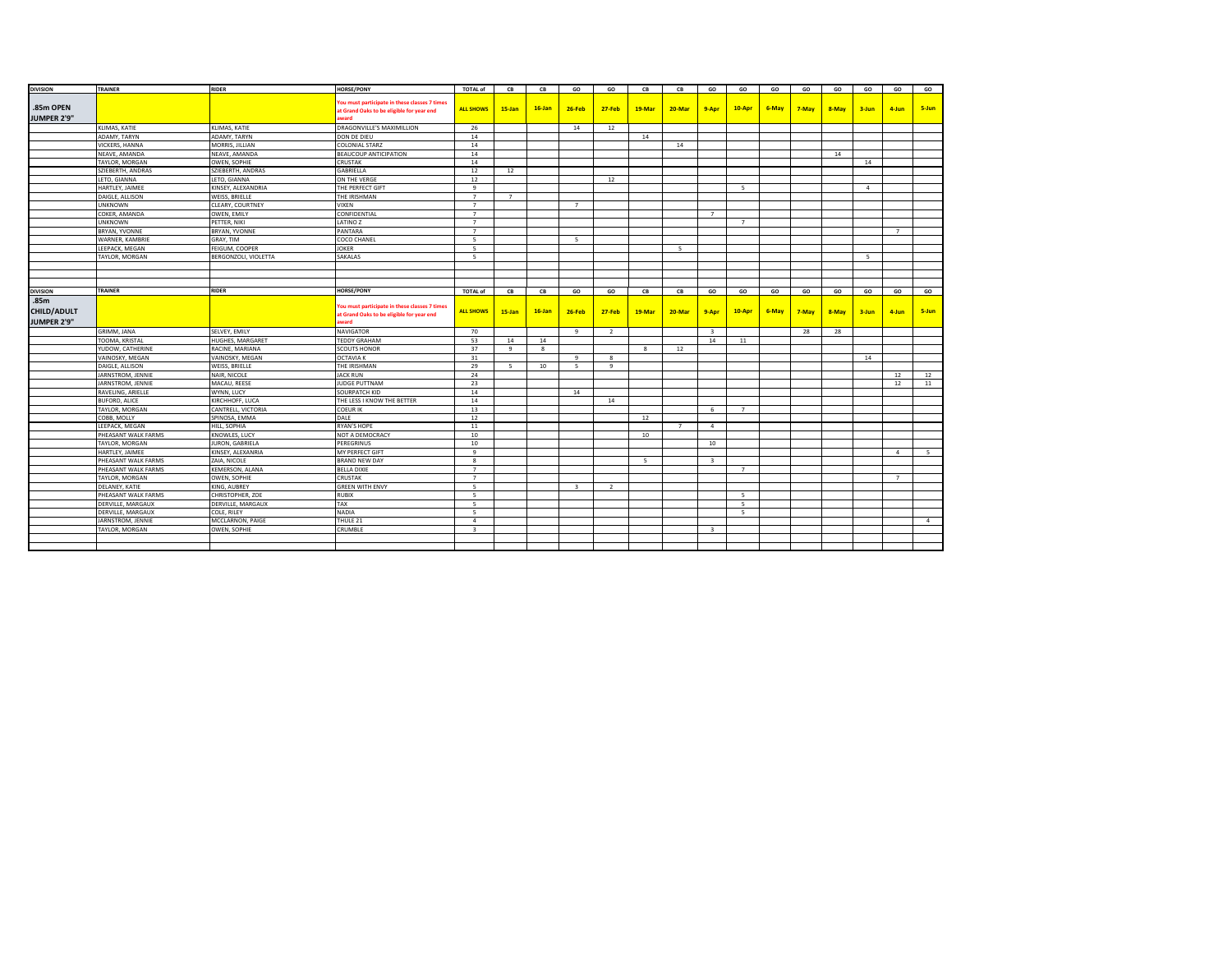| <b>DIVISION</b>    | TRAINER                    | <b>RIDER</b>           | <b>HORSE/PONY</b>                                  | <b>TOTAL of</b>          | CВ             | CB        | GO                      | GO             | CB                       | CB             | GO                      | GO                       | GO    | GO    | GO    | GO             | GO          | GO     |
|--------------------|----------------------------|------------------------|----------------------------------------------------|--------------------------|----------------|-----------|-------------------------|----------------|--------------------------|----------------|-------------------------|--------------------------|-------|-------|-------|----------------|-------------|--------|
|                    |                            |                        |                                                    |                          |                |           |                         |                |                          |                |                         |                          |       |       |       |                |             |        |
| .85m OPEN          |                            |                        | ou must participate in these classes 7 times       | <b>ALL SHOWS</b>         | $15$ -Jan      | $16$ -Jan | 26-Feb                  | $27 - Feb$     | 19-Mar                   | 20-Mar         | 9-Apr                   | $10-Apr$                 | 6-May | 7-May | 8-May | $3 - Jun$      | 4-Jun       | 5-Jun  |
| <b>JUMPER 2'9"</b> |                            |                        | at Grand Oaks to be eligible for year end<br>award |                          |                |           |                         |                |                          |                |                         |                          |       |       |       |                |             |        |
|                    | KLIMAS, KATIE              | KLIMAS, KATIE          | DRAGONVILLE'S MAXIMILLION                          | 26                       |                |           | 14                      | 12             |                          |                |                         |                          |       |       |       |                |             |        |
|                    | ADAMY, TARYN               | ADAMY, TARYN           | DON DE DIEU                                        | 14                       |                |           |                         |                | 14                       |                |                         |                          |       |       |       |                |             |        |
|                    | VICKERS, HANNA             | MORRIS, JILLIAN        | COLONIAL STARZ                                     | 14                       |                |           |                         |                |                          | 14             |                         |                          |       |       |       |                |             |        |
|                    | NEAVE, AMANDA              | NEAVE, AMANDA          | <b>BEAUCOUP ANTICIPATION</b>                       | 14                       |                |           |                         |                |                          |                |                         |                          |       |       | 14    |                |             |        |
|                    | TAYLOR, MORGAN             | OWEN, SOPHIE           | CRUSTAK                                            | 14                       |                |           |                         |                |                          |                |                         |                          |       |       |       | 14             |             |        |
|                    | SZIEBERTH, ANDRAS          | SZIEBERTH, ANDRAS      | GABRIELLA                                          | 12                       | 12             |           |                         |                |                          |                |                         |                          |       |       |       |                |             |        |
|                    | LETO, GIANNA               | LETO, GIANNA           | ON THE VERGE                                       | 12                       |                |           |                         | 12             |                          |                |                         |                          |       |       |       |                |             |        |
|                    | HARTLEY, JAIMEE            | KINSEY, ALEXANDRIA     | THE PERFECT GIFT                                   | 9                        |                |           |                         |                |                          |                |                         | 5                        |       |       |       | $\overline{4}$ |             |        |
|                    | DAIGLE, ALLISON            | WEISS, BRIELLE         | THE IRISHMAN                                       | $\overline{7}$           | 7              |           |                         |                |                          |                |                         |                          |       |       |       |                |             |        |
|                    | <b>JNKNOWN</b>             | CLEARY, COURTNEY       | <b>VIXEN</b>                                       | $\overline{7}$           |                |           | $\overline{7}$          |                |                          |                |                         |                          |       |       |       |                |             |        |
|                    | COKER, AMANDA              | OWEN, EMILY            | CONFIDENTIAL                                       | $\overline{7}$           |                |           |                         |                |                          |                | $\overline{7}$          |                          |       |       |       |                |             |        |
|                    | UNKNOWN                    | PETTER, NIKI           | LATINO Z                                           | $\overline{7}$           |                |           |                         |                |                          |                |                         | $7^{\circ}$              |       |       |       |                |             |        |
|                    | BRYAN, YVONNE              | BRYAN, YVONNE          | PANTARA                                            | $\overline{7}$           |                |           |                         |                |                          |                |                         |                          |       |       |       |                | $7^{\circ}$ |        |
|                    | WARNER, KAMBRIE            | GRAY, TIM              | COCO CHANEL                                        | -5                       |                |           | 5                       |                |                          |                |                         |                          |       |       |       |                |             |        |
|                    | LEEPACK, MEGAN             | FEIGUM, COOPER         | <b>JOKER</b>                                       | -5                       |                |           |                         |                |                          | 5              |                         |                          |       |       |       |                |             |        |
|                    | TAYLOR, MORGAN             | BERGONZOLI, VIOLETTA   | SAKALAS                                            | -5                       |                |           |                         |                |                          |                |                         |                          |       |       |       | -5             |             |        |
|                    |                            |                        |                                                    |                          |                |           |                         |                |                          |                |                         |                          |       |       |       |                |             |        |
|                    |                            |                        |                                                    |                          |                |           |                         |                |                          |                |                         |                          |       |       |       |                |             |        |
|                    |                            |                        |                                                    |                          |                |           |                         |                |                          |                |                         |                          |       |       |       |                |             |        |
| <b>DIVISION</b>    | <b>TRAINER</b>             | <b>RIDER</b>           | <b>HORSE/PONY</b>                                  | <b>TOTAL of</b>          | CB             | CB        | GO                      | GO             | CB                       | CB             | GO                      | GO                       | GO    | GO    | GO    | GO             | GO          | GO     |
| .85m               |                            |                        |                                                    |                          |                |           |                         |                |                          |                |                         |                          |       |       |       |                |             |        |
| <b>CHILD/ADULT</b> |                            |                        | You must participate in these classes 7 times      |                          |                | $16$ -Jan | 26-Feb                  | $27-Feb$       | 19-Mar                   | 20-Mar         |                         | $10-Apr$                 | 6-May |       |       |                | 4-Jun       | 5-Jun  |
|                    |                            |                        | at Grand Oaks to be eligible for year end          | <b>ALL SHOWS</b>         | $15$ -Jan      |           |                         |                |                          |                | 9-Apr                   |                          |       | 7-May | 8-May | $3 - Jun$      |             |        |
| JUMPER 2'9"        |                            |                        | award                                              |                          |                |           |                         |                |                          |                |                         |                          |       |       |       |                |             |        |
|                    | GRIMM, JANA                | SELVEY, EMILY          | <b>NAVIGATOR</b>                                   | 70                       |                |           | 9                       | $\overline{2}$ |                          |                | $\overline{\mathbf{3}}$ |                          |       | 28    | 28    |                |             |        |
|                    | TOOMA, KRISTAL             | HUGHES, MARGARET       | <b>TEDDY GRAHAM</b>                                | 53                       | 14             | 14        |                         |                |                          |                | 14                      | 11                       |       |       |       |                |             |        |
|                    | YUDOW, CATHERINE           | RACINE, MARIANA        | <b>SCOUTS HONOR</b>                                | 37                       | 9              | 8         |                         |                | 8                        | 12             |                         |                          |       |       |       |                |             |        |
|                    | <b>VAINOSKY, MEGAN</b>     | VAINOSKY, MEGAN        | <b>OCTAVIA K</b>                                   | 31                       |                |           | $\mathbf{q}$            | 8              |                          |                |                         |                          |       |       |       | 14             |             |        |
|                    | DAIGLE, ALLISON            | WEISS, BRIELLE         | THE IRISHMAN                                       | 29                       | $\overline{5}$ | 10        | 5                       | 9              |                          |                |                         |                          |       |       |       |                |             |        |
|                    | JARNSTROM, JENNIE          | NAIR, NICOLE           | <b>JACK RUN</b>                                    | 24                       |                |           |                         |                |                          |                |                         |                          |       |       |       |                | 12          | 12     |
|                    | JARNSTROM, JENNIE          | MACAU, REESE           | JUDGE PUTTNAM                                      | 23                       |                |           |                         |                |                          |                |                         |                          |       |       |       |                | 12          | 11     |
|                    | RAVELING, ARIELLE          | WYNN, LUCY             | SOURPATCH KID                                      | 14                       |                |           | 14                      |                |                          |                |                         |                          |       |       |       |                |             |        |
|                    | BUFORD, ALICE              | KIRCHHOFF, LUCA        | THE LESS I KNOW THE BETTER                         | 14                       |                |           |                         | 14             |                          |                |                         |                          |       |       |       |                |             |        |
|                    | TAYLOR, MORGAN             | CANTRELL, VICTORIA     | <b>COEUR IK</b>                                    | 13                       |                |           |                         |                |                          |                | 6                       | $\overline{7}$           |       |       |       |                |             |        |
|                    | COBB, MOLLY                | SPINOSA, EMMA          | DALE                                               | 12                       |                |           |                         |                | 12                       |                |                         |                          |       |       |       |                |             |        |
|                    | EEPACK, MEGAN              | HILL, SOPHIA           | RYAN'S HOPE                                        | 11                       |                |           |                         |                |                          | $\overline{7}$ | $\overline{a}$          |                          |       |       |       |                |             |        |
|                    | PHEASANT WALK FARMS        | KNOWLES, LUCY          | NOT A DEMOCRACY                                    | 10                       |                |           |                         |                | 10                       |                |                         |                          |       |       |       |                |             |        |
|                    | TAYLOR, MORGAN             | JURON, GABRIELA        | PEREGRINUS                                         | 10                       |                |           |                         |                |                          |                | 10                      |                          |       |       |       |                |             |        |
|                    | HARTLEY, JAIMEE            | KINSEY, ALEXANRIA      | MY PERFECT GIFT                                    | 9                        |                |           |                         |                |                          |                |                         |                          |       |       |       |                | $\sim$      | 5      |
|                    | <b>PHEASANT WALK FARMS</b> | ZAIA, NICOLE           | <b>BRAND NEW DAY</b>                               | 8                        |                |           |                         |                | $\overline{\phantom{a}}$ |                | $\overline{\mathbf{3}}$ |                          |       |       |       |                |             |        |
|                    | PHEASANT WALK FARMS        | <b>KEMERSON, ALANA</b> | <b>BELLA DIXIE</b>                                 | $\overline{7}$           |                |           |                         |                |                          |                |                         | $\overline{7}$           |       |       |       |                |             |        |
|                    | TAYLOR, MORGAN             | OWEN, SOPHIE           | <b>CRUSTAK</b>                                     | $\overline{7}$           |                |           |                         |                |                          |                |                         |                          |       |       |       |                | $7^{\circ}$ |        |
|                    | DELANEY, KATIE             | KING, AUBREY           | <b>GREEN WITH ENVY</b>                             | -5                       |                |           | $\overline{\mathbf{3}}$ | $\overline{2}$ |                          |                |                         |                          |       |       |       |                |             |        |
|                    | <b>PHEASANT WALK FARMS</b> | CHRISTOPHER, ZOE       | <b>RUBIX</b>                                       | -5                       |                |           |                         |                |                          |                |                         | -5                       |       |       |       |                |             |        |
|                    | DERVILLE, MARGAUX          | DERVILLE, MARGAUX      | <b>TAX</b>                                         | $\overline{\phantom{a}}$ |                |           |                         |                |                          |                |                         | $\overline{\phantom{a}}$ |       |       |       |                |             |        |
|                    | DERVILLE, MARGAUX          | COLE, RILEY            | <b>NADIA</b>                                       | -5                       |                |           |                         |                |                          |                |                         | -5                       |       |       |       |                |             |        |
|                    | JARNSTROM, JENNIE          | MCCLARNON, PAIGE       | THULE 21                                           | $\overline{4}$           |                |           |                         |                |                          |                |                         |                          |       |       |       |                |             | $\sim$ |
|                    | TAYLOR, MORGAN             | OWEN, SOPHIE           | CRUMBLE                                            | $\overline{\mathbf{3}}$  |                |           |                         |                |                          |                | $\overline{\mathbf{3}}$ |                          |       |       |       |                |             |        |
|                    |                            |                        |                                                    |                          |                |           |                         |                |                          |                |                         |                          |       |       |       |                |             |        |
|                    |                            |                        |                                                    |                          |                |           |                         |                |                          |                |                         |                          |       |       |       |                |             |        |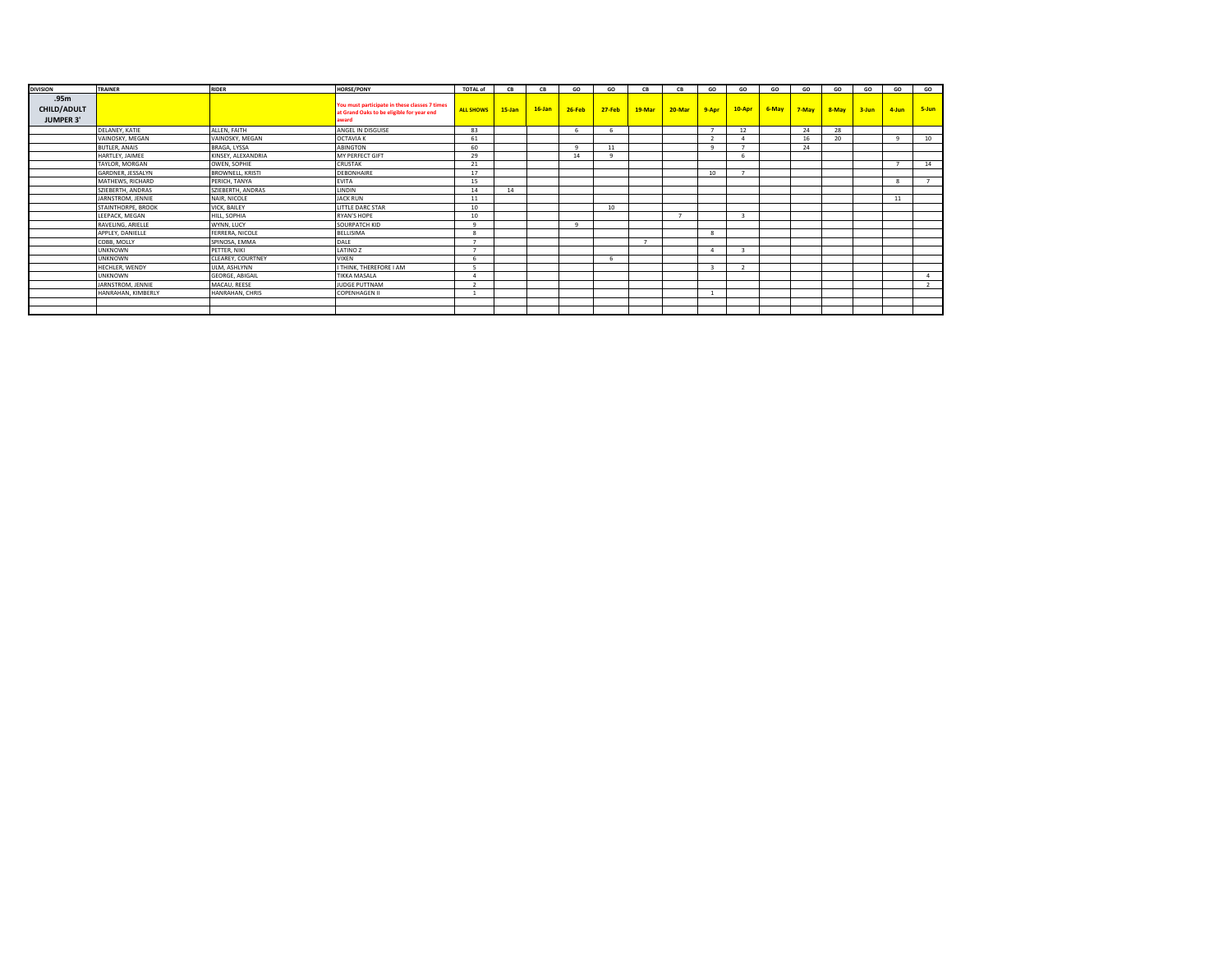| <b>DIVISION</b>                         | <b>TRAINER</b>       | <b>RIDER</b>            | <b>HORSE/PONY</b>                                                                                   | <b>TOTAL of</b>  | CB        | CB        | GO     | GO         | CB     | CB     | GO                      | GO       | GO    | GO    | GO    | GO        | GO           | GO             |
|-----------------------------------------|----------------------|-------------------------|-----------------------------------------------------------------------------------------------------|------------------|-----------|-----------|--------|------------|--------|--------|-------------------------|----------|-------|-------|-------|-----------|--------------|----------------|
| .95m<br>CHILD/ADULT<br><b>JUMPER 3'</b> |                      |                         | You must participate in these classes 7 times<br>at Grand Oaks to be eligible for year end<br>award | <b>ALL SHOWS</b> | $15$ -Jan | $16$ -Jan | 26-Feb | $27 - Feb$ | 19-Mar | 20-Mar | $9 - A$ pr              | $10-Apr$ | 6-May | 7-May | 8-May | $3 - Jun$ | 4-Jun        | 5-Jun          |
|                                         | DELANEY, KATIE       | ALLEN, FAITH            | ANGEL IN DISGUISE                                                                                   | 83               |           |           |        |            |        |        |                         | 12       |       | 24    | 28    |           |              |                |
|                                         | VAINOSKY, MEGAN      | VAINOSKY, MEGAN         | <b>OCTAVIA K</b>                                                                                    | 61               |           |           |        |            |        |        | $\mathbf{z}$            |          |       | 16    | 20    |           | $\mathbf{q}$ | 10             |
|                                         | <b>BUTLER, ANAIS</b> | BRAGA, LYSSA            | ABINGTON                                                                                            | 60               |           |           |        | 11         |        |        | $\alpha$                |          |       | 24    |       |           |              |                |
|                                         | HARTLEY, JAIMEE      | KINSEY, ALEXANDRIA      | MY PERFECT GIFT                                                                                     | 29               |           |           | 14     |            |        |        |                         |          |       |       |       |           |              |                |
|                                         | TAYLOR, MORGAN       | OWEN, SOPHIE            | <b>CRUSTAK</b>                                                                                      | 21               |           |           |        |            |        |        |                         |          |       |       |       |           | ь.           | 14             |
|                                         | GARDNER, JESSALYN    | <b>BROWNELL, KRISTI</b> | <b>DEBONHAIRE</b>                                                                                   | 17               |           |           |        |            |        |        | 10                      |          |       |       |       |           |              |                |
|                                         | MATHEWS, RICHARD     | PERICH, TANYA           | <b>EVITA</b>                                                                                        | 15               |           |           |        |            |        |        |                         |          |       |       |       |           | 8            |                |
|                                         | SZIEBERTH, ANDRAS    | SZIEBERTH, ANDRAS       | LINDIN                                                                                              | 14               | 14        |           |        |            |        |        |                         |          |       |       |       |           |              |                |
|                                         | JARNSTROM, JENNIE    | NAIR, NICOLE            | <b>JACK RUN</b>                                                                                     | 11               |           |           |        |            |        |        |                         |          |       |       |       |           | 11           |                |
|                                         | STAINTHORPE, BROOK   | VICK, BAILEY            | LITTLE DARC STAR                                                                                    | 10               |           |           |        | 10         |        |        |                         |          |       |       |       |           |              |                |
|                                         | LEEPACK, MEGAN       | HILL, SOPHIA            | RYAN'S HOPE                                                                                         | 10               |           |           |        |            |        |        |                         |          |       |       |       |           |              |                |
|                                         | RAVELING, ARIELLE    | WYNN, LUCY              | SOURPATCH KID                                                                                       |                  |           |           |        |            |        |        |                         |          |       |       |       |           |              |                |
|                                         | APPLEY, DANIELLE     | FERRERA, NICOLE         | <b>BELLISIMA</b>                                                                                    |                  |           |           |        |            |        |        | $\mathbf{R}$            |          |       |       |       |           |              |                |
|                                         | COBB, MOLLY          | SPINOSA, EMMA           | DALE                                                                                                |                  |           |           |        |            |        |        |                         |          |       |       |       |           |              |                |
|                                         | <b>UNKNOWN</b>       | PETTER, NIKI            | LATINO Z                                                                                            |                  |           |           |        |            |        |        |                         |          |       |       |       |           |              |                |
|                                         | <b>UNKNOWN</b>       | CLEAREY, COURTNEY       | VIXEN                                                                                               |                  |           |           |        |            |        |        |                         |          |       |       |       |           |              |                |
|                                         | HECHLER, WENDY       | ULM, ASHLYNN            | <b>THINK, THEREFORE I AM</b>                                                                        |                  |           |           |        |            |        |        | $\overline{\mathbf{3}}$ |          |       |       |       |           |              |                |
|                                         | <b>UNKNOWN</b>       | <b>GEORGE, ABIGAIL</b>  | <b>TIKKA MASALA</b>                                                                                 |                  |           |           |        |            |        |        |                         |          |       |       |       |           |              | $\overline{a}$ |
|                                         | JARNSTROM, JENNIE    | MACAU, REESE            | JUDGE PUTTNAM                                                                                       |                  |           |           |        |            |        |        |                         |          |       |       |       |           |              | $\overline{2}$ |
|                                         | HANRAHAN, KIMBERLY   | HANRAHAN, CHRIS         | <b>COPENHAGEN II</b>                                                                                |                  |           |           |        |            |        |        |                         |          |       |       |       |           |              |                |
|                                         |                      |                         |                                                                                                     |                  |           |           |        |            |        |        |                         |          |       |       |       |           |              |                |
|                                         |                      |                         |                                                                                                     |                  |           |           |        |            |        |        |                         |          |       |       |       |           |              |                |